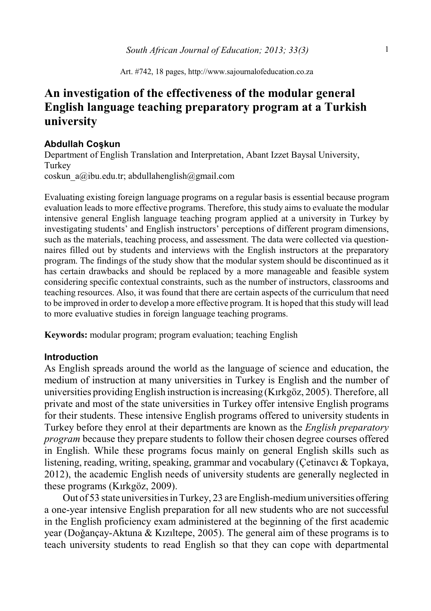# **An investigation of the effectiveness of the modular general English language teaching preparatory program at a Turkish university**

### **Abdullah Coskun**

Department of English Translation and Interpretation, Abant Izzet Baysal University, Turkey coskun\_a@ibu.edu.tr; abdullahenglish@gmail.com

Evaluating existing foreign language programs on a regular basis is essential because program evaluation leads to more effective programs. Therefore, this study aims to evaluate the modular intensive general English language teaching program applied at a university in Turkey by investigating students' and English instructors' perceptions of different program dimensions, such as the materials, teaching process, and assessment. The data were collected via questionnaires filled out by students and interviews with the English instructors at the preparatory program. The findings of the study show that the modular system should be discontinued as it has certain drawbacks and should be replaced by a more manageable and feasible system considering specific contextual constraints, such as the number of instructors, classrooms and teaching resources. Also, it was found that there are certain aspects of the curriculum that need to be improved in order to develop a more effective program. It is hoped that this study will lead to more evaluative studies in foreign language teaching programs.

**Keywords:** modular program; program evaluation; teaching English

### **Introduction**

As English spreads around the world as the language of science and education, the medium of instruction at many universities in Turkey is English and the number of universities providing English instruction is increasing (Kurkgöz, 2005). Therefore, all private and most of the state universities in Turkey offer intensive English programs for their students. These intensive English programs offered to university students in Turkey before they enrol at their departments are known as the *English preparatory program* because they prepare students to follow their chosen degree courses offered in English. While these programs focus mainly on general English skills such as listening, reading, writing, speaking, grammar and vocabulary (Cetinavci  $\&$  Topkaya, 2012), the academic English needs of university students are generally neglected in these programs (Kırkgöz, 2009).

Out of 53 state universities in Turkey, 23 are English-mediumuniversities offering a one-year intensive English preparation for all new students who are not successful in the English proficiency exam administered at the beginning of the first academic year (Doğançay-Aktuna & Kiziltepe, 2005). The general aim of these programs is to teach university students to read English so that they can cope with departmental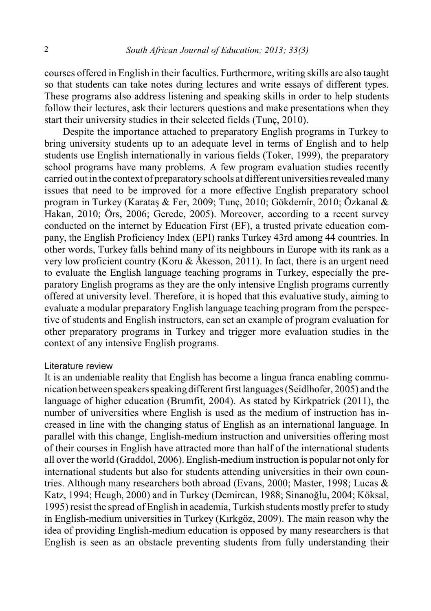courses offered in English in their faculties. Furthermore, writing skills are also taught so that students can take notes during lectures and write essays of different types. These programs also address listening and speaking skills in order to help students follow their lectures, ask their lecturers questions and make presentations when they start their university studies in their selected fields (Tunç, 2010).

Despite the importance attached to preparatory English programs in Turkey to bring university students up to an adequate level in terms of English and to help students use English internationally in various fields (Toker, 1999), the preparatory school programs have many problems. A few program evaluation studies recently carried out in the context of preparatory schools at different universities revealed many issues that need to be improved for a more effective English preparatory school program in Turkey (Karatas & Fer, 2009; Tunc, 2010; Gökdemír, 2010; Özkanal & Hakan, 2010; Örs, 2006; Gerede, 2005). Moreover, according to a recent survey conducted on the internet by Education First (EF), a trusted private education company, the English Proficiency Index (EPI) ranks Turkey 43rd among 44 countries. In other words, Turkey falls behind many of its neighbours in Europe with its rank as a very low proficient country (Koru & Åkesson, 2011). In fact, there is an urgent need to evaluate the English language teaching programs in Turkey, especially the preparatory English programs as they are the only intensive English programs currently offered at university level. Therefore, it is hoped that this evaluative study, aiming to evaluate a modular preparatory English language teaching program from the perspective of students and English instructors, can set an example of program evaluation for other preparatory programs in Turkey and trigger more evaluation studies in the context of any intensive English programs.

#### Literature review

It is an undeniable reality that English has become a lingua franca enabling communication between speakers speaking different first languages (Seidlhofer, 2005) and the language of higher education (Brumfit, 2004). As stated by Kirkpatrick (2011), the number of universities where English is used as the medium of instruction has increased in line with the changing status of English as an international language. In parallel with this change, English-medium instruction and universities offering most of their courses in English have attracted more than half of the international students all over the world (Graddol, 2006). English-mediuminstruction is popular not only for international students but also for students attending universities in their own countries. Although many researchers both abroad (Evans, 2000; Master, 1998; Lucas & Katz, 1994; Heugh, 2000) and in Turkey (Demircan, 1988; Sinanoğlu, 2004; Köksal, 1995) resist the spread of English in academia, Turkish students mostly prefer to study in English-medium universities in Turkey (Kırkgöz, 2009). The main reason why the idea of providing English-medium education is opposed by many researchers is that English is seen as an obstacle preventing students from fully understanding their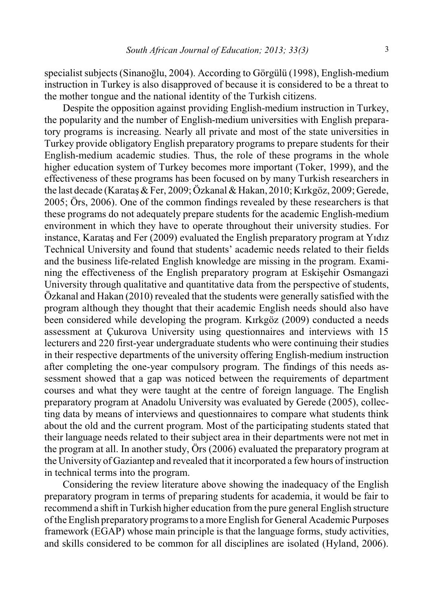specialist subjects (Sinanoğlu, 2004). According to Görgülü (1998), English-medium instruction in Turkey is also disapproved of because it is considered to be a threat to the mother tongue and the national identity of the Turkish citizens.

Despite the opposition against providing English-medium instruction in Turkey, the popularity and the number of English-medium universities with English preparatory programs is increasing. Nearly all private and most of the state universities in Turkey provide obligatory English preparatory programs to prepare students for their English-medium academic studies. Thus, the role of these programs in the whole higher education system of Turkey becomes more important (Toker, 1999), and the effectiveness of these programs has been focused on by many Turkish researchers in the last decade (Karataş & Fer, 2009; Özkanal & Hakan, 2010; Kırkgöz, 2009; Gerede, 2005; Örs, 2006). One of the common findings revealed by these researchers is that these programs do not adequately prepare students for the academic English-medium environment in which they have to operate throughout their university studies. For instance, Karatas and Fer  $(2009)$  evaluated the English preparatory program at Y $1$ d $1z$ Technical University and found that students' academic needs related to their fields and the business life-related English knowledge are missing in the program. Examining the effectiveness of the English preparatory program at Eskisehir Osmangazi University through qualitative and quantitative data from the perspective of students, Özkanal and Hakan (2010) revealed that the students were generally satisfied with the program although they thought that their academic English needs should also have been considered while developing the program. Kirkgöz (2009) conducted a needs assessment at Çukurova University using questionnaires and interviews with 15 lecturers and 220 first-year undergraduate students who were continuing their studies in their respective departments of the university offering English-medium instruction after completing the one-year compulsory program. The findings of this needs assessment showed that a gap was noticed between the requirements of department courses and what they were taught at the centre of foreign language. The English preparatory program at Anadolu University was evaluated by Gerede (2005), collecting data by means of interviews and questionnaires to compare what students think about the old and the current program. Most of the participating students stated that their language needs related to their subject area in their departments were not met in the program at all. In another study, Örs (2006) evaluated the preparatory program at the University of Gaziantep and revealed that it incorporated a fewhours of instruction in technical terms into the program.

Considering the review literature above showing the inadequacy of the English preparatory program in terms of preparing students for academia, it would be fair to recommend a shift in Turkish higher education from the pure general English structure of the English preparatory programs to a more English for General Academic Purposes framework (EGAP) whose main principle is that the language forms, study activities, and skills considered to be common for all disciplines are isolated (Hyland, 2006).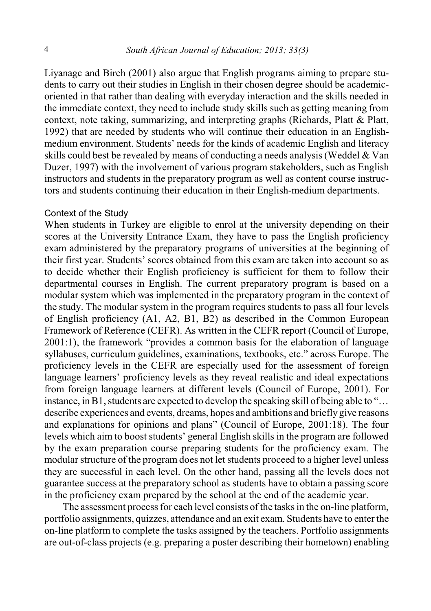Liyanage and Birch (2001) also argue that English programs aiming to prepare students to carry out their studies in English in their chosen degree should be academicoriented in that rather than dealing with everyday interaction and the skills needed in the immediate context, they need to include study skills such as getting meaning from context, note taking, summarizing, and interpreting graphs (Richards, Platt  $\&$  Platt, 1992) that are needed by students who will continue their education in an Englishmedium environment. Students' needs for the kinds of academic English and literacy skills could best be revealed by means of conducting a needs analysis (Weddel & Van Duzer, 1997) with the involvement of various program stakeholders, such as English instructors and students in the preparatory program as well as content course instructors and students continuing their education in their English-medium departments.

### Context of the Study

When students in Turkey are eligible to enrol at the university depending on their scores at the University Entrance Exam, they have to pass the English proficiency exam administered by the preparatory programs of universities at the beginning of their first year. Students' scores obtained from this exam are taken into account so as to decide whether their English proficiency is sufficient for them to follow their departmental courses in English. The current preparatory program is based on a modular system which was implemented in the preparatory program in the context of the study. The modular system in the program requires students to pass all four levels of English proficiency (A1, A2, B1, B2) as described in the Common European Framework of Reference (CEFR). As written in the CEFR report (Council of Europe, 2001:1), the framework "provides a common basis for the elaboration of language syllabuses, curriculum guidelines, examinations, textbooks, etc." across Europe. The proficiency levels in the CEFR are especially used for the assessment of foreign language learners' proficiency levels as they reveal realistic and ideal expectations from foreign language learners at different levels (Council of Europe, 2001). For instance, in B1, students are expected to develop the speaking skill of being able to "… describe experiences and events, dreams, hopes and ambitions and briefly give reasons and explanations for opinions and plans" (Council of Europe, 2001:18). The four levels which aim to boost students' general English skills in the program are followed by the exam preparation course preparing students for the proficiency exam. The modular structure of the program does not let students proceed to a higher level unless they are successful in each level. On the other hand, passing all the levels does not guarantee success at the preparatory school as students have to obtain a passing score in the proficiency exam prepared by the school at the end of the academic year.

The assessment process for each level consists of the tasksin the on-line platform, portfolio assignments, quizzes, attendance and an exit exam. Students have to enter the on-line platform to complete the tasks assigned by the teachers. Portfolio assignments are out-of-class projects (e.g. preparing a poster describing their hometown) enabling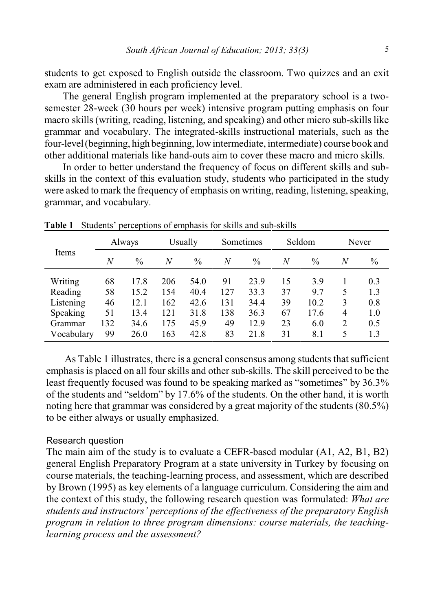students to get exposed to English outside the classroom. Two quizzes and an exit exam are administered in each proficiency level.

The general English program implemented at the preparatory school is a twosemester 28-week (30 hours per week) intensive program putting emphasis on four macro skills (writing, reading, listening, and speaking) and other micro sub-skills like grammar and vocabulary. The integrated-skills instructional materials, such as the four-level(beginning, high beginning, lowintermediate, intermediate) course book and other additional materials like hand-outs aim to cover these macro and micro skills.

In order to better understand the frequency of focus on different skills and subskills in the context of this evaluation study, students who participated in the study were asked to mark the frequency of emphasis on writing, reading, listening, speaking, grammar, and vocabulary.

|            | Always |               | Usually |      | Sometimes |               | Seldom |               | Never |               |
|------------|--------|---------------|---------|------|-----------|---------------|--------|---------------|-------|---------------|
| Items      | N      | $\frac{0}{0}$ | N       | $\%$ | N         | $\frac{0}{0}$ | N      | $\frac{0}{0}$ | N     | $\frac{0}{0}$ |
| Writing    | 68     | 17.8          | 206     | 54.0 | 91        | 23.9          | 15     | 3.9           |       | 0.3           |
| Reading    | 58     | 15.2          | 154     | 40.4 | 127       | 33.3          | 37     | 9.7           | 5     | 1.3           |
| Listening  | 46     | 12.1          | 162     | 42.6 | 131       | 34.4          | 39     | 10.2          | 3     | 0.8           |
| Speaking   | 51     | 13.4          | 121     | 31.8 | 138       | 36.3          | 67     | 17.6          | 4     | 1.0           |
| Grammar    | 132    | 34.6          | 175     | 45.9 | 49        | 12.9          | 23     | 6.0           | 2     | 0.5           |
| Vocabulary | 99     | 26.0          | 163     | 42.8 | 83        | 21.8          | 31     | 8.1           | 5     | 1.3           |

**Table 1** Students' perceptions of emphasis for skills and sub-skills

As Table 1 illustrates, there is a general consensus among students that sufficient emphasis is placed on all four skills and other sub-skills. The skill perceived to be the least frequently focused was found to be speaking marked as "sometimes" by 36.3% of the students and "seldom" by 17.6% of the students. On the other hand, it is worth noting here that grammar was considered by a great majority of the students (80.5%) to be either always or usually emphasized.

### Research question

The main aim of the study is to evaluate a CEFR-based modular (A1, A2, B1, B2) general English Preparatory Program at a state university in Turkey by focusing on course materials, the teaching-learning process, and assessment, which are described by Brown (1995) as key elements of a language curriculum. Considering the aim and the context of this study, the following research question was formulated: *What are students and instructors' perceptions of the effectiveness of the preparatory English program in relation to three program dimensions: course materials, the teachinglearning process and the assessment?*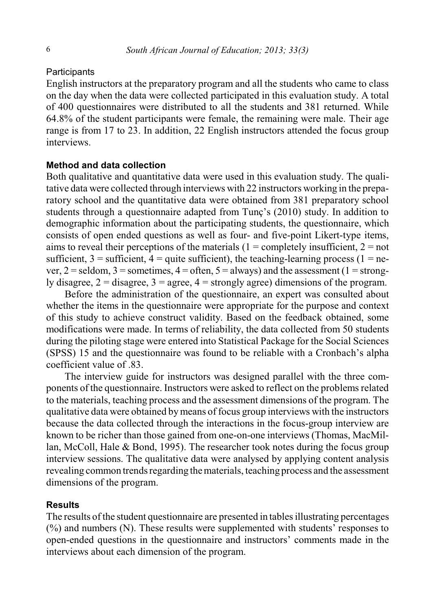## **Participants**

English instructors at the preparatory program and all the students who came to class on the day when the data were collected participated in this evaluation study. A total of 400 questionnaires were distributed to all the students and 381 returned. While 64.8% of the student participants were female, the remaining were male. Their age range is from 17 to 23. In addition, 22 English instructors attended the focus group interviews.

# **Method and data collection**

Both qualitative and quantitative data were used in this evaluation study. The qualitative data were collected through interviews with 22 instructors working in the preparatory school and the quantitative data were obtained from 381 preparatory school students through a questionnaire adapted from Tunç's (2010) study. In addition to demographic information about the participating students, the questionnaire, which consists of open ended questions as well as four- and five-point Likert-type items, aims to reveal their perceptions of the materials  $(1 = \text{completely insufficient}, 2 = \text{not}$ sufficient,  $3 =$  sufficient,  $4 =$  quite sufficient), the teaching-learning process ( $1 =$  never,  $2 =$  seldom,  $3 =$  sometimes,  $4 =$  often,  $5 =$  always) and the assessment ( $1 =$  strongly disagree,  $2 =$  disagree,  $3 =$  agree,  $4 =$  strongly agree) dimensions of the program.

Before the administration of the questionnaire, an expert was consulted about whether the items in the questionnaire were appropriate for the purpose and context of this study to achieve construct validity. Based on the feedback obtained, some modifications were made. In terms of reliability, the data collected from 50 students during the piloting stage were entered into Statistical Package for the Social Sciences (SPSS) 15 and the questionnaire was found to be reliable with a Cronbach's alpha coefficient value of .83.

The interview guide for instructors was designed parallel with the three components of the questionnaire. Instructors were asked to reflect on the problems related to the materials, teaching process and the assessment dimensions of the program. The qualitative data were obtained by means of focus group interviews with the instructors because the data collected through the interactions in the focus-group interview are known to be richer than those gained from one-on-one interviews (Thomas, MacMillan, McColl, Hale & Bond, 1995). The researcher took notes during the focus group interview sessions. The qualitative data were analysed by applying content analysis revealing common trends regarding the materials, teaching process and the assessment dimensions of the program.

# **Results**

The results of the student questionnaire are presented in tables illustrating percentages (%) and numbers (N). These results were supplemented with students' responses to open-ended questions in the questionnaire and instructors' comments made in the interviews about each dimension of the program.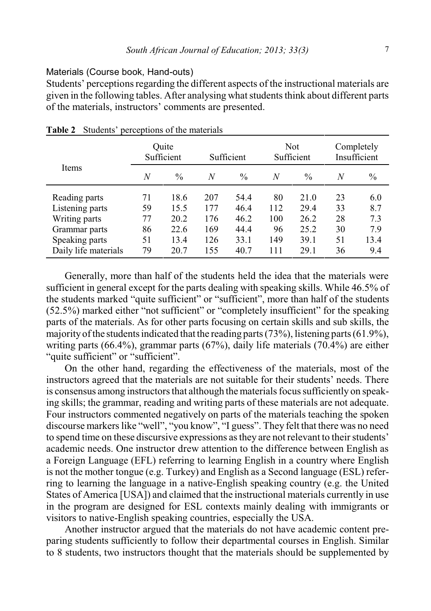#### Materials (Course book, Hand-outs)

Students' perceptions regarding the different aspects of the instructional materials are given in the following tables. After analysing what students think about different parts of the materials, instructors' comments are presented.

|                      |    | Ouite<br>Sufficient |     | Sufficient    |     | Not<br>Sufficient | Completely<br>Insufficient |               |
|----------------------|----|---------------------|-----|---------------|-----|-------------------|----------------------------|---------------|
| Items                | N  | $\frac{0}{0}$       | N   | $\frac{0}{0}$ | N   | $\frac{0}{0}$     | N                          | $\frac{0}{0}$ |
| Reading parts        | 71 | 18.6                | 207 | 54.4          | 80  | 21.0              | 23                         | 6.0           |
| Listening parts      | 59 | 15.5                | 177 | 46.4          | 112 | 29.4              | 33                         | 8.7           |
| Writing parts        | 77 | 20.2                | 176 | 46.2          | 100 | 26.2              | 28                         | 7.3           |
| Grammar parts        | 86 | 22.6                | 169 | 44.4          | 96  | 25.2              | 30                         | 7.9           |
| Speaking parts       | 51 | 13.4                | 126 | 33.1          | 149 | 39.1              | 51                         | 13.4          |
| Daily life materials | 79 | 20.7                | 155 | 40.7          | 111 | 29.1              | 36                         | 9.4           |

**Table 2** Students' perceptions of the materials

Generally, more than half of the students held the idea that the materials were sufficient in general except for the parts dealing with speaking skills. While 46.5% of the students marked "quite sufficient" or "sufficient", more than half of the students (52.5%) marked either "not sufficient" or "completely insufficient" for the speaking parts of the materials. As for other parts focusing on certain skills and sub skills, the majority of the students indicated that the reading parts  $(73\%)$ , listening parts  $(61.9\%)$ , writing parts (66.4%), grammar parts (67%), daily life materials (70.4%) are either "quite sufficient" or "sufficient".

On the other hand, regarding the effectiveness of the materials, most of the instructors agreed that the materials are not suitable for their students' needs. There is consensus among instructors that although the materials focus sufficiently on speaking skills; the grammar, reading and writing parts of these materials are not adequate. Four instructors commented negatively on parts of the materials teaching the spoken discourse markers like "well", "you know", "I guess". They felt that there was no need to spend time on these discursive expressions as they are not relevant to their students' academic needs. One instructor drew attention to the difference between English as a Foreign Language (EFL) referring to learning English in a country where English is not the mother tongue (e.g. Turkey) and English as a Second language (ESL) referring to learning the language in a native-English speaking country (e.g. the United States of America [USA]) and claimed that the instructional materials currently in use in the program are designed for ESL contexts mainly dealing with immigrants or visitors to native-English speaking countries, especially the USA.

Another instructor argued that the materials do not have academic content preparing students sufficiently to follow their departmental courses in English. Similar to 8 students, two instructors thought that the materials should be supplemented by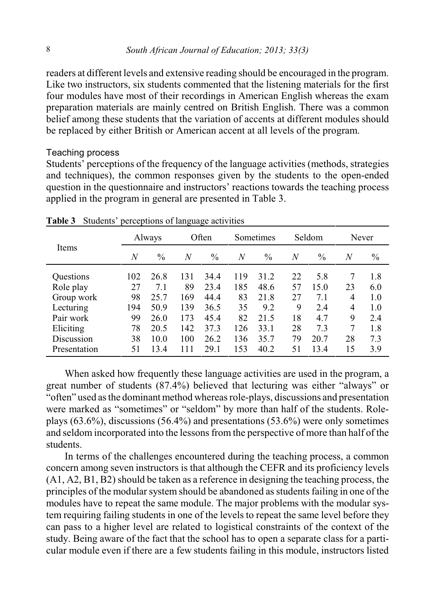readers at different levels and extensive reading should be encouraged in the program. Like two instructors, six students commented that the listening materials for the first four modules have most of their recordings in American English whereas the exam preparation materials are mainly centred on British English. There was a common belief among these students that the variation of accents at different modules should be replaced by either British or American accent at all levels of the program.

### Teaching process

Students' perceptions of the frequency of the language activities (methods, strategies and techniques), the common responses given by the students to the open-ended question in the questionnaire and instructors' reactions towards the teaching process applied in the program in general are presented in Table 3.

|                  | Always |               | Often |               | Sometimes |               | Seldom |      | Never |               |
|------------------|--------|---------------|-------|---------------|-----------|---------------|--------|------|-------|---------------|
| Items            | N      | $\frac{0}{0}$ | N     | $\frac{0}{0}$ | N         | $\frac{0}{0}$ | N      | $\%$ | N     | $\frac{0}{0}$ |
| <b>Ouestions</b> | 102    | 26.8          | 131   | 34.4          | 119       | 31.2          | 22     | 5.8  | 7     | 1.8           |
| Role play        | 27     | 7.1           | 89    | 23.4          | 185       | 48.6          | 57     | 15.0 | 23    | 6.0           |
| Group work       | 98     | 25.7          | 169   | 44.4          | 83        | 21.8          | 27     | 7.1  | 4     | 1.0           |
| Lecturing        | 194    | 50.9          | 139   | 36.5          | 35        | 9.2           | 9      | 2.4  | 4     | 1.0           |
| Pair work        | 99     | 26.0          | 173   | 45.4          | 82        | 21.5          | 18     | 4.7  | 9     | 2.4           |
| Eliciting        | 78     | 20.5          | 142   | 37.3          | 126       | 33.1          | 28     | 7.3  | 7     | 1.8           |
| Discussion       | 38     | 10.0          | 100   | 26.2          | 136       | 35.7          | 79     | 20.7 | 28    | 7.3           |
| Presentation     | 51     | 13.4          | 111   | 29.1          | 153       | 40.2          | 51     | 13.4 | 15    | 3.9           |

**Table 3** Students' perceptions of language activities

When asked how frequently these language activities are used in the program, a great number of students (87.4%) believed that lecturing was either "always" or "often" used as the dominant method whereas role-plays, discussions and presentation were marked as "sometimes" or "seldom" by more than half of the students. Roleplays (63.6%), discussions (56.4%) and presentations (53.6%) were only sometimes and seldom incorporated into the lessons from the perspective of more than half of the students.

In terms of the challenges encountered during the teaching process, a common concern among seven instructors is that although the CEFR and its proficiency levels (A1, A2, B1, B2) should be taken as a reference in designing the teaching process, the principles of the modular system should be abandoned as students failing in one of the modules have to repeat the same module. The major problems with the modular system requiring failing students in one of the levels to repeat the same level before they can pass to a higher level are related to logistical constraints of the context of the study. Being aware of the fact that the school has to open a separate class for a particular module even if there are a few students failing in this module, instructors listed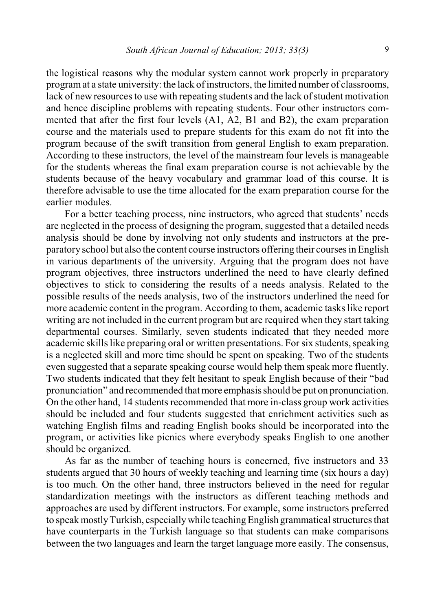the logistical reasons why the modular system cannot work properly in preparatory programat a state university: the lack of instructors, the limited number of classrooms, lack of newresources to use with repeating students and the lack of student motivation and hence discipline problems with repeating students. Four other instructors commented that after the first four levels (A1, A2, B1 and B2), the exam preparation course and the materials used to prepare students for this exam do not fit into the program because of the swift transition from general English to exam preparation. According to these instructors, the level of the mainstream four levels is manageable for the students whereas the final exam preparation course is not achievable by the students because of the heavy vocabulary and grammar load of this course. It is therefore advisable to use the time allocated for the exam preparation course for the earlier modules.

For a better teaching process, nine instructors, who agreed that students' needs are neglected in the process of designing the program, suggested that a detailed needs analysis should be done by involving not only students and instructors at the preparatory school but also the content course instructors offering their courses in English in various departments of the university. Arguing that the program does not have program objectives, three instructors underlined the need to have clearly defined objectives to stick to considering the results of a needs analysis. Related to the possible results of the needs analysis, two of the instructors underlined the need for more academic content in the program. According to them, academic taskslike report writing are not included in the current program but are required when they start taking departmental courses. Similarly, seven students indicated that they needed more academic skills like preparing oral or written presentations. For six students, speaking is a neglected skill and more time should be spent on speaking. Two of the students even suggested that a separate speaking course would help them speak more fluently. Two students indicated that they felt hesitant to speak English because of their "bad pronunciation" and recommended that more emphasis should be put on pronunciation. On the other hand, 14 students recommended that more in-class group work activities should be included and four students suggested that enrichment activities such as watching English films and reading English books should be incorporated into the program, or activities like picnics where everybody speaks English to one another should be organized.

As far as the number of teaching hours is concerned, five instructors and 33 students argued that 30 hours of weekly teaching and learning time (six hours a day) is too much. On the other hand, three instructors believed in the need for regular standardization meetings with the instructors as different teaching methods and approaches are used by different instructors. For example, some instructors preferred to speak mostlyTurkish, especiallywhile teachingEnglish grammatical structures that have counterparts in the Turkish language so that students can make comparisons between the two languages and learn the target language more easily. The consensus,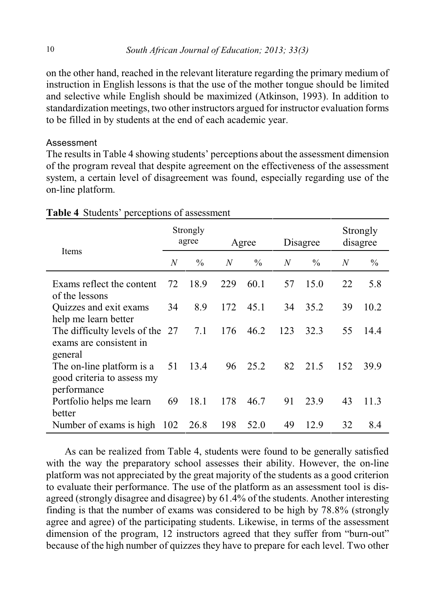on the other hand, reached in the relevant literature regarding the primary medium of instruction in English lessons is that the use of the mother tongue should be limited and selective while English should be maximized (Atkinson, 1993). In addition to standardization meetings, two other instructors argued for instructor evaluation forms to be filled in by students at the end of each academic year.

### Assessment

The results in Table 4 showing students' perceptions about the assessment dimension of the program reveal that despite agreement on the effectiveness of the assessment system, a certain level of disagreement was found, especially regarding use of the on-line platform.

|                                                                       | Strongly<br>agree |               | Agree            |               | Disagree |               | Strongly<br>disagree |               |
|-----------------------------------------------------------------------|-------------------|---------------|------------------|---------------|----------|---------------|----------------------|---------------|
| Items                                                                 | $\boldsymbol{N}$  | $\frac{0}{0}$ | $\boldsymbol{N}$ | $\frac{0}{0}$ | N        | $\frac{0}{0}$ | N                    | $\frac{0}{0}$ |
| Exams reflect the content<br>of the lessons                           | 72                | 18.9          | 229              | 60.1          | 57       | 15.0          | 22                   | 5.8           |
| Quizzes and exit exams                                                | 34                | 8.9           | 172              | 45.1          | 34       | 35.2          | 39                   | 10.2          |
| help me learn better                                                  |                   |               |                  |               |          |               |                      |               |
| The difficulty levels of the 27<br>exams are consistent in<br>general |                   | 7.1           | 176              | 46.2          | 123      | 32.3          | 55                   | 14.4          |
| The on-line platform is a $51$ 13.4<br>good criteria to assess my     |                   |               |                  | 96 25.2       | 82       | 21.5          | 152                  | 39.9          |
| performance<br>Portfolio helps me learn                               | 69                | 18.1          | 178              | 46.7          | 91       | 23.9          | 43                   | 11.3          |
| better                                                                |                   |               |                  |               |          |               |                      |               |
| Number of exams is high 102                                           |                   | 26.8          | 198              | 52.0          | 49       | 12.9          | 32                   | 8.4           |

# **Table 4** Students' perceptions of assessment

As can be realized from Table 4, students were found to be generally satisfied with the way the preparatory school assesses their ability. However, the on-line platform was not appreciated by the great majority of the students as a good criterion to evaluate their performance. The use of the platform as an assessment tool is disagreed (strongly disagree and disagree) by 61.4% of the students. Another interesting finding is that the number of exams was considered to be high by 78.8% (strongly agree and agree) of the participating students. Likewise, in terms of the assessment dimension of the program, 12 instructors agreed that they suffer from "burn-out" because of the high number of quizzes they have to prepare for each level. Two other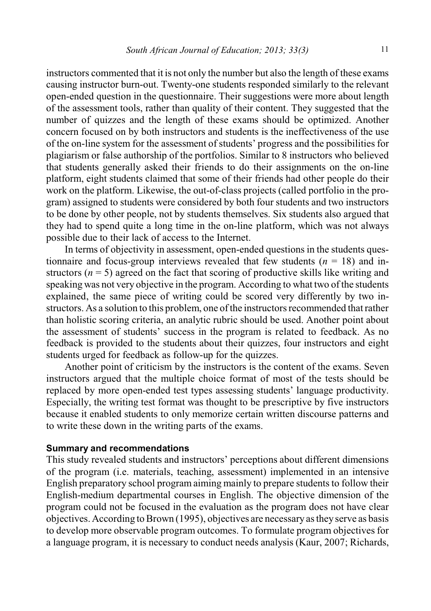instructors commented that it is not only the number but also the length of these exams causing instructor burn-out. Twenty-one students responded similarly to the relevant open-ended question in the questionnaire. Their suggestions were more about length of the assessment tools, rather than quality of their content. They suggested that the number of quizzes and the length of these exams should be optimized. Another concern focused on by both instructors and students is the ineffectiveness of the use of the on-line system for the assessment of students' progress and the possibilities for plagiarism or false authorship of the portfolios. Similar to 8 instructors who believed that students generally asked their friends to do their assignments on the on-line platform, eight students claimed that some of their friends had other people do their work on the platform. Likewise, the out-of-class projects (called portfolio in the program) assigned to students were considered by both four students and two instructors to be done by other people, not by students themselves. Six students also argued that they had to spend quite a long time in the on-line platform, which was not always possible due to their lack of access to the Internet.

In terms of objectivity in assessment, open-ended questions in the students questionnaire and focus-group interviews revealed that few students  $(n = 18)$  and instructors  $(n = 5)$  agreed on the fact that scoring of productive skills like writing and speaking was not very objective in the program. According to what two of the students explained, the same piece of writing could be scored very differently by two instructors. As a solution to this problem, one of the instructors recommended that rather than holistic scoring criteria, an analytic rubric should be used. Another point about the assessment of students' success in the program is related to feedback. As no feedback is provided to the students about their quizzes, four instructors and eight students urged for feedback as follow-up for the quizzes.

Another point of criticism by the instructors is the content of the exams. Seven instructors argued that the multiple choice format of most of the tests should be replaced by more open-ended test types assessing students' language productivity. Especially, the writing test format was thought to be prescriptive by five instructors because it enabled students to only memorize certain written discourse patterns and to write these down in the writing parts of the exams.

### **Summary and recommendations**

This study revealed students and instructors' perceptions about different dimensions of the program (i.e. materials, teaching, assessment) implemented in an intensive English preparatory school program aiming mainly to prepare students to follow their English-medium departmental courses in English. The objective dimension of the program could not be focused in the evaluation as the program does not have clear objectives. According to Brown (1995), objectives are necessary as they serve as basis to develop more observable program outcomes. To formulate program objectives for a language program, it is necessary to conduct needs analysis (Kaur, 2007; Richards,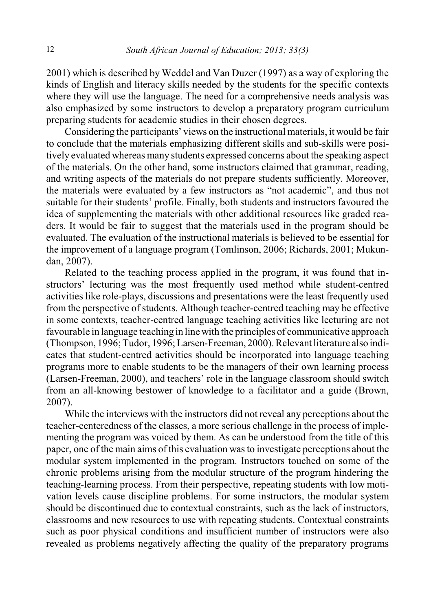2001) which is described by Weddel and Van Duzer (1997) as a way of exploring the kinds of English and literacy skills needed by the students for the specific contexts where they will use the language. The need for a comprehensive needs analysis was also emphasized by some instructors to develop a preparatory program curriculum preparing students for academic studies in their chosen degrees.

Considering the participants' views on the instructional materials, it would be fair to conclude that the materials emphasizing different skills and sub-skills were positively evaluated whereas many students expressed concerns about the speaking aspect of the materials. On the other hand, some instructors claimed that grammar, reading, and writing aspects of the materials do not prepare students sufficiently. Moreover, the materials were evaluated by a few instructors as "not academic", and thus not suitable for their students' profile. Finally, both students and instructors favoured the idea of supplementing the materials with other additional resources like graded readers. It would be fair to suggest that the materials used in the program should be evaluated. The evaluation of the instructional materials is believed to be essential for the improvement of a language program (Tomlinson, 2006; Richards, 2001; Mukundan, 2007).

Related to the teaching process applied in the program, it was found that instructors' lecturing was the most frequently used method while student-centred activities like role-plays, discussions and presentations were the least frequently used from the perspective of students. Although teacher-centred teaching may be effective in some contexts, teacher-centred language teaching activities like lecturing are not favourable in language teaching in line with the principles of communicative approach (Thompson, 1996; Tudor, 1996; Larsen-Freeman, 2000). Relevant literature also indicates that student-centred activities should be incorporated into language teaching programs more to enable students to be the managers of their own learning process (Larsen-Freeman, 2000), and teachers' role in the language classroom should switch from an all-knowing bestower of knowledge to a facilitator and a guide (Brown, 2007).

While the interviews with the instructors did not reveal any perceptions about the teacher-centeredness of the classes, a more serious challenge in the process of implementing the program was voiced by them. As can be understood from the title of this paper, one of the main aims of this evaluation was to investigate perceptions about the modular system implemented in the program. Instructors touched on some of the chronic problems arising from the modular structure of the program hindering the teaching-learning process. From their perspective, repeating students with low motivation levels cause discipline problems. For some instructors, the modular system should be discontinued due to contextual constraints, such as the lack of instructors, classrooms and new resources to use with repeating students. Contextual constraints such as poor physical conditions and insufficient number of instructors were also revealed as problems negatively affecting the quality of the preparatory programs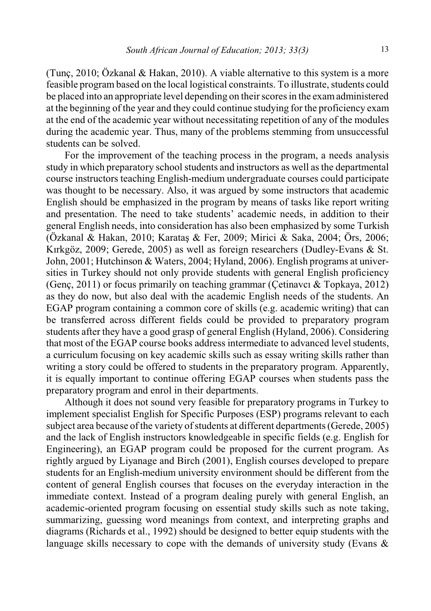(Tunc, 2010; Özkanal & Hakan, 2010). A viable alternative to this system is a more feasible program based on the local logistical constraints. To illustrate, students could be placed into an appropriate level depending on their scores in the examadministered at the beginning of the year and they could continue studying for the proficiency exam at the end of the academic year without necessitating repetition of any of the modules during the academic year. Thus, many of the problems stemming from unsuccessful students can be solved.

For the improvement of the teaching process in the program, a needs analysis study in which preparatory school students and instructors as well as the departmental course instructors teaching English-medium undergraduate courses could participate was thought to be necessary. Also, it was argued by some instructors that academic English should be emphasized in the program by means of tasks like report writing and presentation. The need to take students' academic needs, in addition to their general English needs, into consideration has also been emphasized by some Turkish (Özkanal & Hakan, 2010; Karatas & Fer, 2009; Mirici & Saka, 2004; Örs, 2006; Kirkgöz, 2009; Gerede, 2005) as well as foreign researchers (Dudley-Evans  $&$  St. John, 2001; Hutchinson & Waters, 2004; Hyland, 2006). English programs at universities in Turkey should not only provide students with general English proficiency (Genc, 2011) or focus primarily on teaching grammar (Cetinavci & Topkaya, 2012) as they do now, but also deal with the academic English needs of the students. An EGAP program containing a common core of skills (e.g. academic writing) that can be transferred across different fields could be provided to preparatory program students after they have a good grasp of general English (Hyland, 2006). Considering that most of the EGAP course books address intermediate to advanced level students, a curriculum focusing on key academic skills such as essay writing skills rather than writing a story could be offered to students in the preparatory program. Apparently, it is equally important to continue offering EGAP courses when students pass the preparatory program and enrol in their departments.

Although it does not sound very feasible for preparatory programs in Turkey to implement specialist English for Specific Purposes (ESP) programs relevant to each subject area because of the variety of students at different departments (Gerede, 2005) and the lack of English instructors knowledgeable in specific fields (e.g. English for Engineering), an EGAP program could be proposed for the current program. As rightly argued by Liyanage and Birch (2001), English courses developed to prepare students for an English-medium university environment should be different from the content of general English courses that focuses on the everyday interaction in the immediate context. Instead of a program dealing purely with general English, an academic-oriented program focusing on essential study skills such as note taking, summarizing, guessing word meanings from context, and interpreting graphs and diagrams (Richards et al., 1992) should be designed to better equip students with the language skills necessary to cope with the demands of university study (Evans &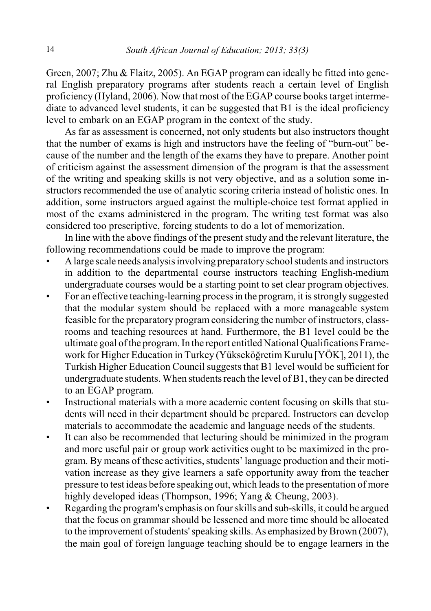Green, 2007; Zhu & Flaitz, 2005). An EGAP program can ideally be fitted into general English preparatory programs after students reach a certain level of English proficiency (Hyland, 2006). Now that most of the EGAP course books target intermediate to advanced level students, it can be suggested that B1 is the ideal proficiency level to embark on an EGAP program in the context of the study.

As far as assessment is concerned, not only students but also instructors thought that the number of exams is high and instructors have the feeling of "burn-out" because of the number and the length of the exams they have to prepare. Another point of criticism against the assessment dimension of the program is that the assessment of the writing and speaking skills is not very objective, and as a solution some instructors recommended the use of analytic scoring criteria instead of holistic ones. In addition, some instructors argued against the multiple-choice test format applied in most of the exams administered in the program. The writing test format was also considered too prescriptive, forcing students to do a lot of memorization.

In line with the above findings of the present study and the relevant literature, the following recommendations could be made to improve the program:

- A large scale needs analysis involving preparatory school students and instructors in addition to the departmental course instructors teaching English-medium undergraduate courses would be a starting point to set clear program objectives.
- For an effective teaching-learning process in the program, it is strongly suggested that the modular system should be replaced with a more manageable system feasible for the preparatory program considering the number of instructors, classrooms and teaching resources at hand. Furthermore, the B1 level could be the ultimate goal of the program. In the report entitled National Qualifications Framework for Higher Education in Turkey (Yükseköðretim Kurulu [YÖK], 2011), the Turkish Higher Education Council suggeststhat B1 level would be sufficient for undergraduate students. When students reach the level of B1, they can be directed to an EGAP program.
- Instructional materials with a more academic content focusing on skills that students will need in their department should be prepared. Instructors can develop materials to accommodate the academic and language needs of the students.
- It can also be recommended that lecturing should be minimized in the program and more useful pair or group work activities ought to be maximized in the program. By means of these activities, students' language production and their motivation increase as they give learners a safe opportunity away from the teacher pressure to test ideas before speaking out, which leads to the presentation of more highly developed ideas (Thompson, 1996; Yang & Cheung, 2003).
- Regarding the program's emphasis on four skills and sub-skills, it could be argued that the focus on grammar should be lessened and more time should be allocated to the improvement of students' speaking skills. As emphasized by Brown (2007), the main goal of foreign language teaching should be to engage learners in the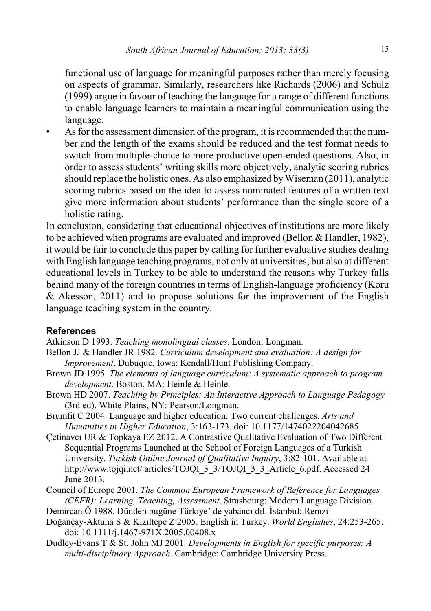functional use of language for meaningful purposes rather than merely focusing on aspects of grammar. Similarly, researchers like Richards (2006) and Schulz (1999) argue in favour of teaching the language for a range of different functions to enable language learners to maintain a meaningful communication using the language.

As for the assessment dimension of the program, it is recommended that the number and the length of the exams should be reduced and the test format needs to switch from multiple-choice to more productive open-ended questions. Also, in order to assess students' writing skills more objectively, analytic scoring rubrics should replace the holistic ones. As also emphasized by Wiseman (2011), analytic scoring rubrics based on the idea to assess nominated features of a written text give more information about students' performance than the single score of a holistic rating.

In conclusion, considering that educational objectives of institutions are more likely to be achieved when programs are evaluated and improved (Bellon & Handler, 1982), it would be fair to conclude this paper by calling for further evaluative studies dealing with English language teaching programs, not only at universities, but also at different educational levels in Turkey to be able to understand the reasons why Turkey falls behind many of the foreign countries in terms of English-language proficiency (Koru & Akesson, 2011) and to propose solutions for the improvement of the English language teaching system in the country.

### **References**

Atkinson D 1993. *Teaching monolingual classes*. London: Longman.

- Bellon JJ & Handler JR 1982. *Curriculum development and evaluation: A design for Improvement*. Dubuque, Iowa: Kendall/Hunt Publishing Company.
- Brown JD 1995. *The elements of language curriculum: A systematic approach to program development*. Boston, MA: Heinle & Heinle.
- Brown HD 2007. *Teaching by Principles: An Interactive Approach to Language Pedagogy* (3rd ed). White Plains, NY: Pearson/Longman.
- Brumfit C 2004. Language and higher education: Two current challenges. *Arts and Humanities in Higher Education*, 3:163-173. doi: 10.1177/1474022204042685
- Çetinavcı UR & Topkaya EZ 2012. A Contrastive Qualitative Evaluation of Two Different Sequential Programs Launched at the School of Foreign Languages of a Turkish University. *Turkish Online Journal of Qualitative Inquiry*, 3:82-101. Available at http://www.tojqi.net/ articles/TOJQI\_3\_3/TOJQI\_3\_3\_Article\_6.pdf. Accessed 24 June 2013.
- Council of Europe 2001. *The Common European Framework of Reference for Languages (CEFR): Learning, Teaching, Assessment*. Strasbourg: Modern Language Division.
- Demircan Ö 1988. Dünden bugüne Türkiye' de yabancı dil. İstanbul: Remzi
- Doğançay-Aktuna S & Kızıltepe Z 2005. English in Turkey. *World Englishes*, 24:253-265. doi: 10.1111/j.1467-971X.2005.00408.x
- Dudley-Evans T & St. John MJ 2001. *Developments in English for specific purposes: A multi-disciplinary Approach*. Cambridge: Cambridge University Press.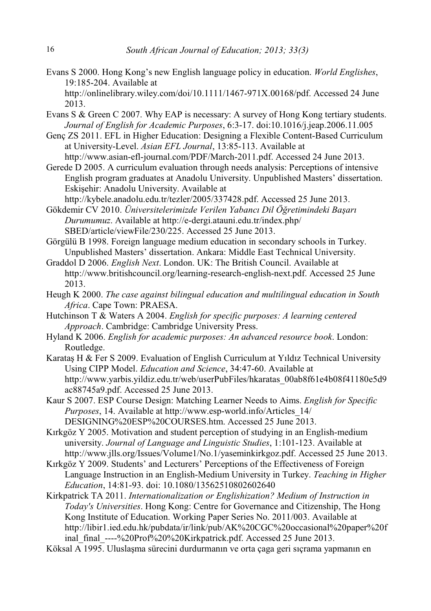- Evans S 2000. Hong Kong's new English language policy in education. *World Englishes*, 19:185-204. Available at http://onlinelibrary.wiley.com/doi/10.1111/1467-971X.00168/pdf. Accessed 24 June 2013.
- Evans S & Green C 2007. Why EAP is necessary: A survey of Hong Kong tertiary students. *Journal of English for Academic Purposes*, 6:3-17. doi:10.1016/j.jeap.2006.11.005
- Genç ZS 2011. EFL in Higher Education: Designing a Flexible Content-Based Curriculum at University-Level. *Asian EFL Journal*, 13:85-113. Available at http://www.asian-efl-journal.com/PDF/March-2011.pdf. Accessed 24 June 2013.
- Gerede D 2005. A curriculum evaluation through needs analysis: Perceptions of intensive English program graduates at Anadolu University. Unpublished Masters' dissertation. Eskisehir: Anadolu University. Available at http://kybele.anadolu.edu.tr/tezler/2005/337428.pdf. Accessed 25 June 2013.

Gökdemir CV 2010. Üniversitelerimizde Verilen Yabancı Dil Öğretimindeki Başarı *Durumumuz*. Available at http://e-dergi.atauni.edu.tr/index.php/ SBED/article/viewFile/230/225. Accessed 25 June 2013.

Görgülü B 1998. Foreign language medium education in secondary schools in Turkey. Unpublished Masters' dissertation. Ankara: Middle East Technical University.

Graddol D 2006. *English Next*. London. UK: The British Council. Available at http://www.britishcouncil.org/learning-research-english-next.pdf. Accessed 25 June 2013.

- Heugh K 2000. *The case against bilingual education and multilingual education in South Africa*. Cape Town: PRAESA.
- Hutchinson T & Waters A 2004. *English for specific purposes: A learning centered Approach*. Cambridge: Cambridge University Press.
- Hyland K 2006. *English for academic purposes: An advanced resource book*. London: Routledge.
- Karatas H & Fer S 2009. Evaluation of English Curriculum at Yildiz Technical University Using CIPP Model. *Education and Science*, 34:47-60. Available at http://www.yarbis.yildiz.edu.tr/web/userPubFiles/hkaratas\_00ab8f61e4b08f41180e5d9 ac88745a9.pdf. Accessed 25 June 2013.
- Kaur S 2007. ESP Course Design: Matching Learner Needs to Aims. *English for Specific Purposes*, 14. Available at http://www.esp-world.info/Articles\_14/ DESIGNING%20ESP%20COURSES.htm. Accessed 25 June 2013.

Kırkgöz Y 2005. Motivation and student perception of studying in an English-medium university. *Journal of Language and Linguistic Studies*, 1:101-123. Available at http://www.jlls.org/Issues/Volume1/No.1/yaseminkirkgoz.pdf. Accessed 25 June 2013.

- Kirkgöz Y 2009. Students' and Lecturers' Perceptions of the Effectiveness of Foreign Language Instruction in an English-Medium University in Turkey. *Teaching in Higher Education*, 14:81-93. doi: 10.1080/13562510802602640
- Kirkpatrick TA 2011. *Internationalization or Englishization? Medium of Instruction in Today's Universities*. Hong Kong: Centre for Governance and Citizenship, The Hong Kong Institute of Education. Working Paper Series No. 2011/003. Available at http://libir1.ied.edu.hk/pubdata/ir/link/pub/AK%20CGC%20occasional%20paper%20f inal\_final\_----%20Prof%20%20Kirkpatrick.pdf. Accessed 25 June 2013.
- Köksal A 1995. Uluslasma sürecini durdurmanın ve orta çaga geri sıçrama yapmanın en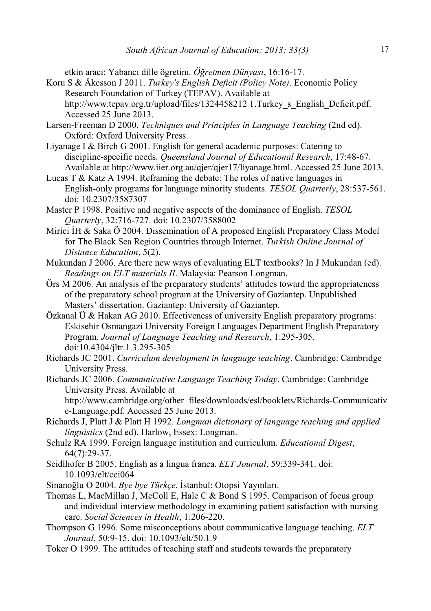etkin aracı: Yabancı dille ögretim. Öğretmen Dünyası, 16:16-17.

- Koru S & Åkesson J 2011. *Turkey's English Deficit (Policy Note)*. Economic Policy Research Foundation of Turkey (TEPAV). Available at http://www.tepav.org.tr/upload/files/1324458212 1.Turkey s English Deficit.pdf. Accessed 25 June 2013.
- Larsen-Freeman D 2000. *Techniques and Principles in Language Teaching* (2nd ed). Oxford: Oxford University Press.
- Liyanage I & Birch G 2001. English for general academic purposes: Catering to discipline-specific needs. *Queensland Journal of Educational Research*, 17:48-67. Available at http://www.iier.org.au/qjer/qjer17/liyanage.html. Accessed 25 June 2013.
- Lucas T & Katz A 1994. Reframing the debate: The roles of native languages in English-only programs for language minority students. *TESOL Quarterly*, 28:537-561. doi: 10.2307/3587307
- Master P 1998. Positive and negative aspects of the dominance of English. *TESOL Quarterly*, 32:716-727. doi: 10.2307/3588002
- Mirici İH & Saka Ö 2004. Dissemination of A proposed English Preparatory Class Model for The Black Sea Region Countries through Internet. *Turkish Online Journal of Distance Education*, 5(2).
- Mukundan J 2006. Are there new ways of evaluating ELT textbooks? In J Mukundan (ed). *Readings on ELT materials II*. Malaysia: Pearson Longman.
- Örs M 2006. An analysis of the preparatory students' attitudes toward the appropriateness of the preparatory school program at the University of Gaziantep. Unpublished Masters' dissertation. Gaziantep: University of Gaziantep.
- Özkanal Ü & Hakan AG 2010. Effectiveness of university English preparatory programs: Eskisehir Osmangazi University Foreign Languages Department English Preparatory Program. *Journal of Language Teaching and Research*, 1:295-305. doi:10.4304/jltr.1.3.295-305
- Richards JC 2001. *Curriculum development in language teaching*. Cambridge: Cambridge University Press.
- Richards JC 2006. *Communicative Language Teaching Today*. Cambridge: Cambridge University Press. Available at

http://www.cambridge.org/other\_files/downloads/esl/booklets/Richards-Communicativ e-Language.pdf. Accessed 25 June 2013.

- Richards J, Platt J & Platt H 1992. *Longman dictionary of language teaching and applied linguistics* (2nd ed). Harlow, Essex: Longman.
- Schulz RA 1999. Foreign language institution and curriculum. *Educational Digest*, 64(7):29-37.
- Seidlhofer B 2005. English as a lingua franca. *ELT Journal*, 59:339-341. doi: 10.1093/elt/cci064
- Sinanoğlu O 2004. *Bye bye Türkce*. İstanbul: Otopsi Yayınları.
- Thomas L, MacMillan J, McColl E, Hale C & Bond S 1995. Comparison of focus group and individual interview methodology in examining patient satisfaction with nursing care. *Social Sciences in Health*, 1:206-220.
- Thompson G 1996. Some misconceptions about communicative language teaching. *ELT Journal*, 50:9-15. doi: 10.1093/elt/50.1.9
- Toker O 1999. The attitudes of teaching staff and students towards the preparatory